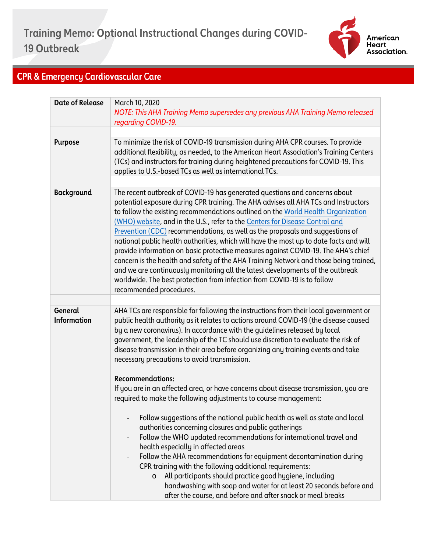

## **CPR & Emergency Cardiovascular Care**

| <b>Date of Release</b>        | March 10, 2020<br>NOTE: This AHA Training Memo supersedes any previous AHA Training Memo released<br>regarding COVID-19.                                                                                                                                                                                                                                                                                                                                                                                                                                                                                                                                                                                                                                                                                                                                                                 |
|-------------------------------|------------------------------------------------------------------------------------------------------------------------------------------------------------------------------------------------------------------------------------------------------------------------------------------------------------------------------------------------------------------------------------------------------------------------------------------------------------------------------------------------------------------------------------------------------------------------------------------------------------------------------------------------------------------------------------------------------------------------------------------------------------------------------------------------------------------------------------------------------------------------------------------|
|                               |                                                                                                                                                                                                                                                                                                                                                                                                                                                                                                                                                                                                                                                                                                                                                                                                                                                                                          |
| <b>Purpose</b>                | To minimize the risk of COVID-19 transmission during AHA CPR courses. To provide<br>additional flexibility, as needed, to the American Heart Association's Training Centers<br>(TCs) and instructors for training during heightened precautions for COVID-19. This<br>applies to U.S.-based TCs as well as international TCs.                                                                                                                                                                                                                                                                                                                                                                                                                                                                                                                                                            |
|                               |                                                                                                                                                                                                                                                                                                                                                                                                                                                                                                                                                                                                                                                                                                                                                                                                                                                                                          |
| <b>Background</b>             | The recent outbreak of COVID-19 has generated questions and concerns about<br>potential exposure during CPR training. The AHA advises all AHA TCs and Instructors<br>to follow the existing recommendations outlined on the World Health Organization<br>(WHO) website, and in the U.S., refer to the Centers for Disease Control and<br>Prevention (CDC) recommendations, as well as the proposals and suggestions of<br>national public health authorities, which will have the most up to date facts and will<br>provide information on basic protective measures against COVID-19. The AHA's chief<br>concern is the health and safety of the AHA Training Network and those being trained,<br>and we are continuously monitoring all the latest developments of the outbreak<br>worldwide. The best protection from infection from COVID-19 is to follow<br>recommended procedures. |
|                               |                                                                                                                                                                                                                                                                                                                                                                                                                                                                                                                                                                                                                                                                                                                                                                                                                                                                                          |
| General<br><b>Information</b> | AHA TCs are responsible for following the instructions from their local government or<br>public health authority as it relates to actions around COVID-19 (the disease caused<br>by a new coronavirus). In accordance with the guidelines released by local<br>government, the leadership of the TC should use discretion to evaluate the risk of<br>disease transmission in their area before organizing any training events and take<br>necessary precautions to avoid transmission.                                                                                                                                                                                                                                                                                                                                                                                                   |
|                               | <b>Recommendations:</b>                                                                                                                                                                                                                                                                                                                                                                                                                                                                                                                                                                                                                                                                                                                                                                                                                                                                  |
|                               | If you are in an affected area, or have concerns about disease transmission, you are<br>required to make the following adjustments to course management:                                                                                                                                                                                                                                                                                                                                                                                                                                                                                                                                                                                                                                                                                                                                 |
|                               | Follow suggestions of the national public health as well as state and local<br>authorities concerning closures and public gatherings<br>Follow the WHO updated recommendations for international travel and<br>health especially in affected areas<br>Follow the AHA recommendations for equipment decontamination during<br>CPR training with the following additional requirements:<br>All participants should practice good hygiene, including<br>$\circ$<br>handwashing with soap and water for at least 20 seconds before and<br>after the course, and before and after snack or meal breaks                                                                                                                                                                                                                                                                                        |